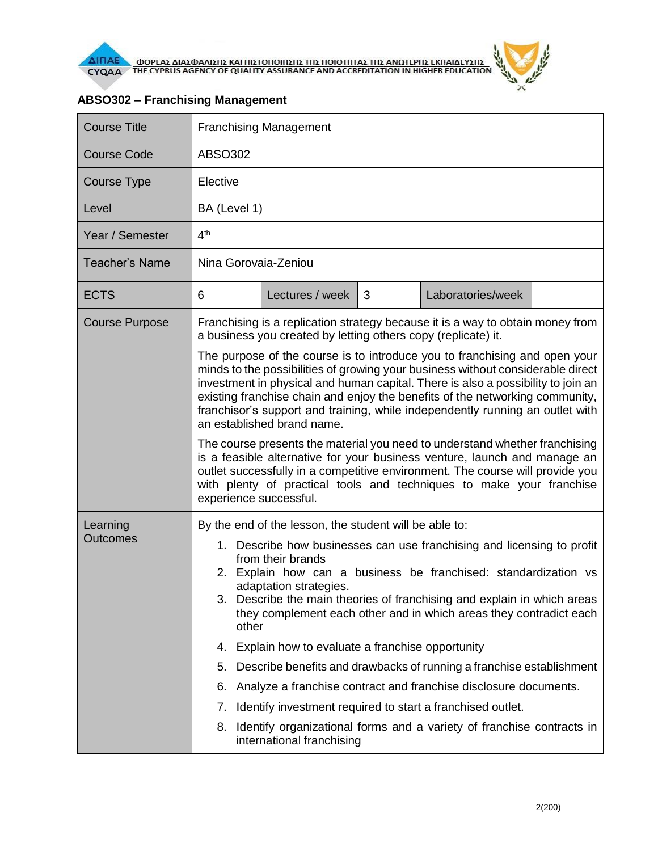

| <b>Course Title</b>         | <b>Franchising Management</b>                                                                                                                                                                                                                                                                                                                                                                                                                                                                                                                                                                                                                                                                                                                                                                                 |                 |   |                   |  |  |
|-----------------------------|---------------------------------------------------------------------------------------------------------------------------------------------------------------------------------------------------------------------------------------------------------------------------------------------------------------------------------------------------------------------------------------------------------------------------------------------------------------------------------------------------------------------------------------------------------------------------------------------------------------------------------------------------------------------------------------------------------------------------------------------------------------------------------------------------------------|-----------------|---|-------------------|--|--|
| <b>Course Code</b>          | ABSO302                                                                                                                                                                                                                                                                                                                                                                                                                                                                                                                                                                                                                                                                                                                                                                                                       |                 |   |                   |  |  |
| <b>Course Type</b>          | Elective                                                                                                                                                                                                                                                                                                                                                                                                                                                                                                                                                                                                                                                                                                                                                                                                      |                 |   |                   |  |  |
| Level                       | BA (Level 1)                                                                                                                                                                                                                                                                                                                                                                                                                                                                                                                                                                                                                                                                                                                                                                                                  |                 |   |                   |  |  |
| Year / Semester             | 4 <sup>th</sup>                                                                                                                                                                                                                                                                                                                                                                                                                                                                                                                                                                                                                                                                                                                                                                                               |                 |   |                   |  |  |
| <b>Teacher's Name</b>       | Nina Gorovaia-Zeniou                                                                                                                                                                                                                                                                                                                                                                                                                                                                                                                                                                                                                                                                                                                                                                                          |                 |   |                   |  |  |
| <b>ECTS</b>                 | 6                                                                                                                                                                                                                                                                                                                                                                                                                                                                                                                                                                                                                                                                                                                                                                                                             | Lectures / week | 3 | Laboratories/week |  |  |
| <b>Course Purpose</b>       | Franchising is a replication strategy because it is a way to obtain money from<br>a business you created by letting others copy (replicate) it.                                                                                                                                                                                                                                                                                                                                                                                                                                                                                                                                                                                                                                                               |                 |   |                   |  |  |
|                             | The purpose of the course is to introduce you to franchising and open your<br>minds to the possibilities of growing your business without considerable direct<br>investment in physical and human capital. There is also a possibility to join an<br>existing franchise chain and enjoy the benefits of the networking community,<br>franchisor's support and training, while independently running an outlet with<br>an established brand name.<br>The course presents the material you need to understand whether franchising<br>is a feasible alternative for your business venture, launch and manage an<br>outlet successfully in a competitive environment. The course will provide you<br>with plenty of practical tools and techniques to make your franchise<br>experience successful.               |                 |   |                   |  |  |
| Learning<br><b>Outcomes</b> | By the end of the lesson, the student will be able to:<br>1. Describe how businesses can use franchising and licensing to profit<br>from their brands<br>2. Explain how can a business be franchised: standardization vs<br>adaptation strategies.<br>3. Describe the main theories of franchising and explain in which areas<br>they complement each other and in which areas they contradict each<br>other<br>Explain how to evaluate a franchise opportunity<br>4.<br>Describe benefits and drawbacks of running a franchise establishment<br>5.<br>Analyze a franchise contract and franchise disclosure documents.<br>6.<br>Identify investment required to start a franchised outlet.<br>7.<br>Identify organizational forms and a variety of franchise contracts in<br>8.<br>international franchising |                 |   |                   |  |  |

## **ABSO302 – Franchising Management**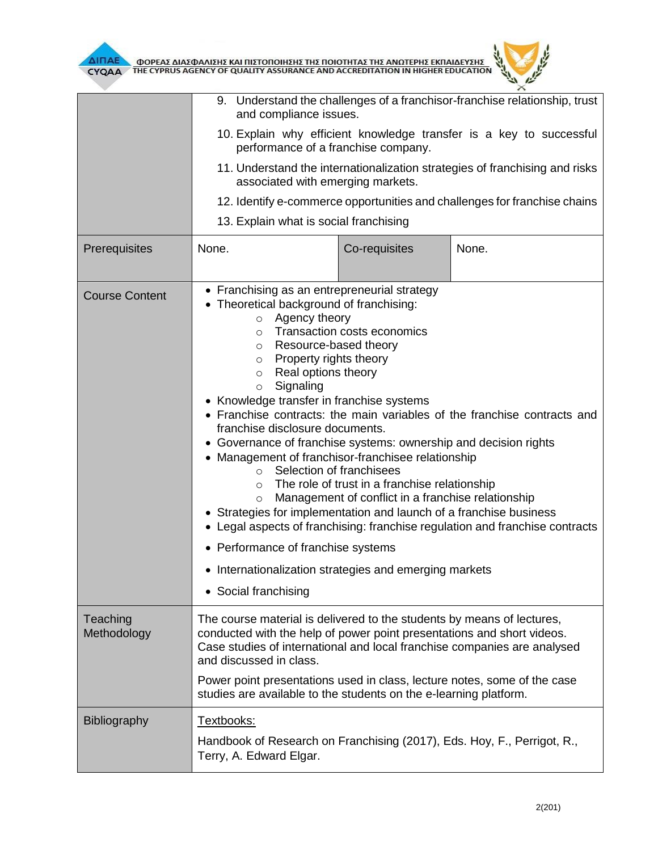

|                         | 9. Understand the challenges of a franchisor-franchise relationship, trust<br>and compliance issues.                                                                                                                                                                                                                                                                                                                                                                                                                                                                                                                                                                                                                                                                                                                                                                                                                                                                                                              |               |       |  |  |
|-------------------------|-------------------------------------------------------------------------------------------------------------------------------------------------------------------------------------------------------------------------------------------------------------------------------------------------------------------------------------------------------------------------------------------------------------------------------------------------------------------------------------------------------------------------------------------------------------------------------------------------------------------------------------------------------------------------------------------------------------------------------------------------------------------------------------------------------------------------------------------------------------------------------------------------------------------------------------------------------------------------------------------------------------------|---------------|-------|--|--|
|                         | 10. Explain why efficient knowledge transfer is a key to successful<br>performance of a franchise company.<br>11. Understand the internationalization strategies of franchising and risks<br>associated with emerging markets.<br>12. Identify e-commerce opportunities and challenges for franchise chains                                                                                                                                                                                                                                                                                                                                                                                                                                                                                                                                                                                                                                                                                                       |               |       |  |  |
|                         |                                                                                                                                                                                                                                                                                                                                                                                                                                                                                                                                                                                                                                                                                                                                                                                                                                                                                                                                                                                                                   |               |       |  |  |
|                         |                                                                                                                                                                                                                                                                                                                                                                                                                                                                                                                                                                                                                                                                                                                                                                                                                                                                                                                                                                                                                   |               |       |  |  |
|                         | 13. Explain what is social franchising                                                                                                                                                                                                                                                                                                                                                                                                                                                                                                                                                                                                                                                                                                                                                                                                                                                                                                                                                                            |               |       |  |  |
| Prerequisites           | None.                                                                                                                                                                                                                                                                                                                                                                                                                                                                                                                                                                                                                                                                                                                                                                                                                                                                                                                                                                                                             | Co-requisites | None. |  |  |
| <b>Course Content</b>   | • Franchising as an entrepreneurial strategy<br>• Theoretical background of franchising:<br>Agency theory<br>$\circ$<br>Transaction costs economics<br>$\circ$<br>Resource-based theory<br>$\circ$<br>Property rights theory<br>$\circ$<br>Real options theory<br>$\circ$<br>Signaling<br>$\circ$<br>• Knowledge transfer in franchise systems<br>• Franchise contracts: the main variables of the franchise contracts and<br>franchise disclosure documents.<br>• Governance of franchise systems: ownership and decision rights<br>• Management of franchisor-franchisee relationship<br>Selection of franchisees<br>$\circ$<br>The role of trust in a franchise relationship<br>$\circ$<br>Management of conflict in a franchise relationship<br>$\circ$<br>• Strategies for implementation and launch of a franchise business<br>• Legal aspects of franchising: franchise regulation and franchise contracts<br>• Performance of franchise systems<br>• Internationalization strategies and emerging markets |               |       |  |  |
|                         | • Social franchising                                                                                                                                                                                                                                                                                                                                                                                                                                                                                                                                                                                                                                                                                                                                                                                                                                                                                                                                                                                              |               |       |  |  |
| Teaching<br>Methodology | The course material is delivered to the students by means of lectures,<br>conducted with the help of power point presentations and short videos.<br>Case studies of international and local franchise companies are analysed<br>and discussed in class.<br>Power point presentations used in class, lecture notes, some of the case                                                                                                                                                                                                                                                                                                                                                                                                                                                                                                                                                                                                                                                                               |               |       |  |  |
|                         | studies are available to the students on the e-learning platform.                                                                                                                                                                                                                                                                                                                                                                                                                                                                                                                                                                                                                                                                                                                                                                                                                                                                                                                                                 |               |       |  |  |
| Bibliography            | Textbooks:<br>Handbook of Research on Franchising (2017), Eds. Hoy, F., Perrigot, R.,<br>Terry, A. Edward Elgar.                                                                                                                                                                                                                                                                                                                                                                                                                                                                                                                                                                                                                                                                                                                                                                                                                                                                                                  |               |       |  |  |

 $\theta$